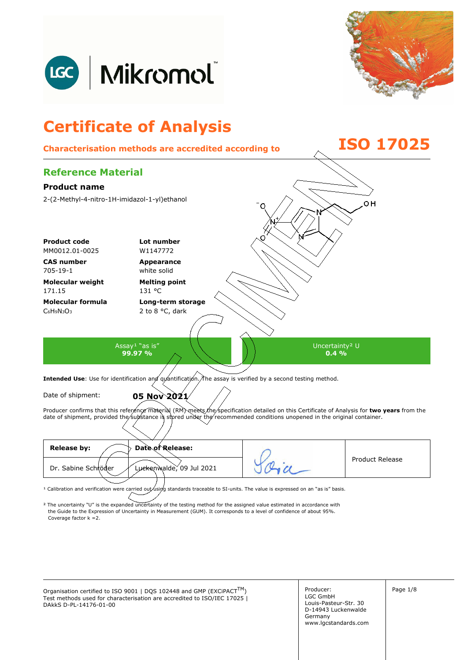



## **Certificate of Analysis Characterisation methods are accredited according to ISO 17025 Reference Material Product name**  2-(2-Methyl-4-nitro-1H-imidazol-1-yl)ethanol oн **Product code Lot number** MM0012.01-0025 W1147772 **CAS number Appearance**  705-19-1 white solid **Molecular weight Melting point**  171.15 131 °C **Molecular formula Long-term storage**   $C_6H_9N_3O_3$ 2 to 8 °C, dark Assay<sup>1</sup> "as is" Uncertainty² U **99.97 %**   $0.4\%$ Intended Use: Use for identification and quantification. The assay is verified by a second testing method. Date of shipment: **05 Nov 2021** Producer confirms that this reference material (RM) meets the specification detailed on this Certificate of Analysis for two years from the date of shipment, provided the substance is stored under the recommended conditions unopened in the original container. **Release by: Date of Release:**  Product Release Dr. Sabine Schröder Luckenwalde, 09 Jul 2021

<sup>1</sup> Calibration and verification were carried out using standards traceable to SI-units. The value is expressed on an "as is" basis.

² The uncertainty "U" is the expanded uncertainty of the testing method for the assigned value estimated in accordance with Coverage factor k =2. the Guide to the Expression of Uncertainty in Measurement (GUM). It corresponds to a level of confidence of about 95%.

Organisation certified to ISO 9001 | DQS 102448 and GMP (EXCiPACT<sup>TM</sup>)  $\left| \begin{array}{c} \text{Product:} \end{array} \right|$ Test methods used for characterisation are accredited to ISO/IEC 17025 | DAkkS D-PL-14176-01-00

Producer: LGC GmbH Louis-Pasteur-Str. 30 D-14943 Luckenwalde Germany www.lgcstandards.com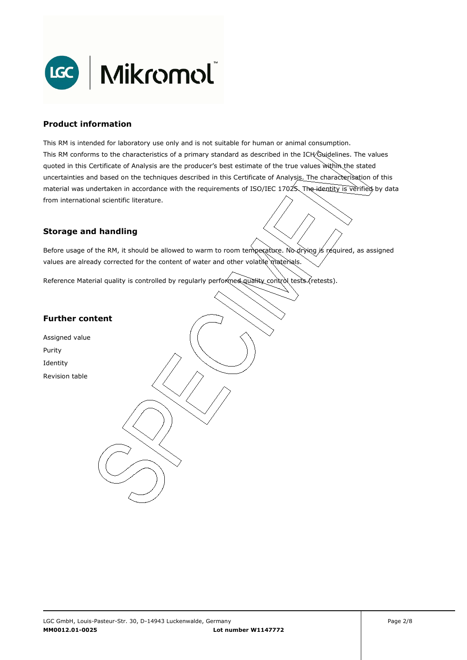

### **Product information**

This RM is intended for laboratory use only and is not suitable for human or animal consumption. This RM conforms to the characteristics of a primary standard as described in the ICH Guidelines. The values quoted in this Certificate of Analysis are the producer's best estimate of the true values within the stated uncertainties and based on the techniques described in this Certificate of Analysis. The characterisation of this material was undertaken in accordance with the requirements of ISO/IEC 17025. The identity is verified by data from international scientific literature.

## **Storage and handling**

Before usage of the RM, it should be allowed to warm to room temperature. No drying is required, as assigned values are already corrected for the content of water and other volatile materials.

Reference Material quality is controlled by regularly performed quality control tests (retests).

## **Further content**

Assigned value Purity Identity Revision table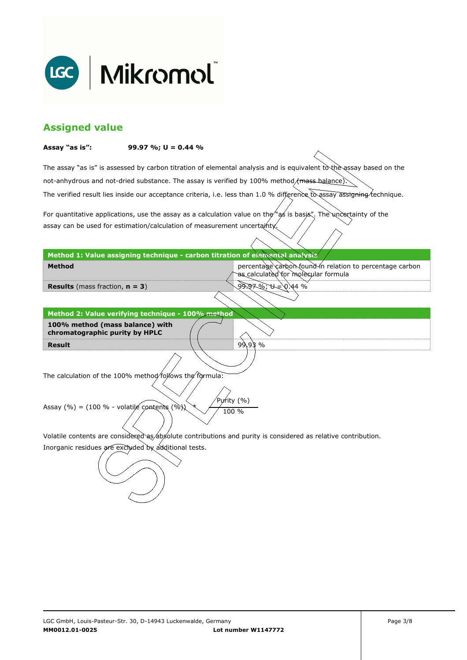

## **Assigned value**

#### **Assay "as is": 99.97 %; U = 0.44 %**

The assay "as is" is assessed by carbon titration of elemental analysis and is equivalent to the assay based on the The verified result lies inside our acceptance criteria, i.e. less than 1.0 % difference to assay assigning technique. not-anhydrous and not-dried substance. The assay is verified by 100% method/mass-balance)

For quantitative applications, use the assay as a calculation value on the  $\gamma$  as is basis". The uncertainty of the assay can be used for estimation/calculation of measurement uncertainty.

**Method 1: Value assigning technique - carbon titration of elemental analysis** 

percentage carbon found in relation to percentage carbon as calculated for molecular formula

99.97 %; U = 0.44 %

99.93 %

**Results** (mass fraction, **n = 3**)

**Method** 

**Result Method 2: Value verifying technique - 100% method 100% method (mass balance) with chromatographic purity by HPLC** 

The calculation of the 100% method follows the formula:

Purity (%) Assay (%) = (100 % - volatile contents (%)  $\chi$  / 100 %

Volatile contents are considered as absolute contributions and purity is considered as relative contribution.

Inorganic residues are excluded by additional tests.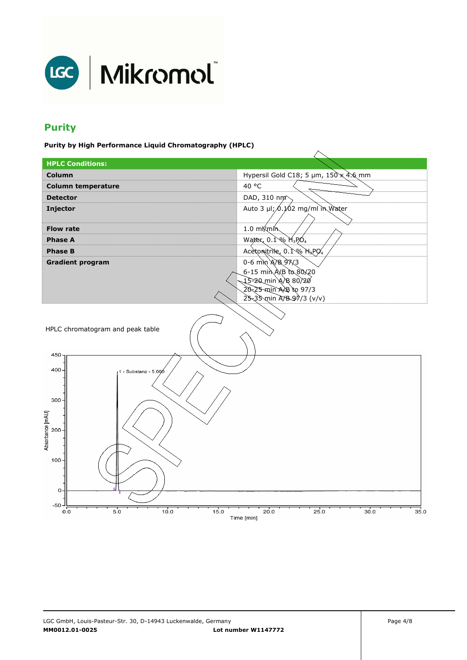

# **Purity**

**Purity by High Performance Liquid Chromatography (HPLC)** 

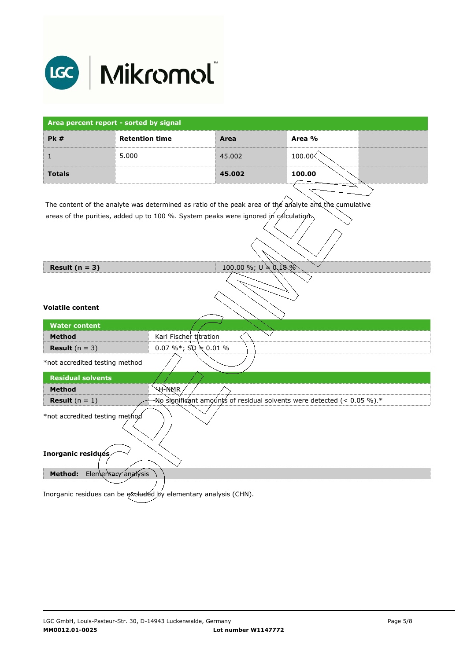

| Area percent report - sorted by signal                                                                                                                                                       |                       |                                                                               |        |  |
|----------------------------------------------------------------------------------------------------------------------------------------------------------------------------------------------|-----------------------|-------------------------------------------------------------------------------|--------|--|
| <b>Pk#</b>                                                                                                                                                                                   | <b>Retention time</b> | Area                                                                          | Area % |  |
| $\mathbf{1}$                                                                                                                                                                                 | 5.000                 | 45.002                                                                        | 100.00 |  |
| <b>Totals</b>                                                                                                                                                                                |                       | 45.002                                                                        | 100.00 |  |
| The content of the analyte was determined as ratio of the peak area of the analyte and the cumulative<br>areas of the purities, added up to 100 %. System peaks were ignored in calculation, |                       |                                                                               |        |  |
| 100.00 %; $U \neq 0.18\%$<br>Result $(n = 3)$                                                                                                                                                |                       |                                                                               |        |  |
| <b>Volatile content</b><br><b>Water content</b><br>Karl Fischer titration<br><b>Method</b><br>0.07 %*; $Sp \neq 0.01$ %<br><b>Result</b> $(n = 3)$                                           |                       |                                                                               |        |  |
| *not accredited testing method                                                                                                                                                               |                       |                                                                               |        |  |
| <b>Residual solvents</b><br><b>Method</b><br><b>Result</b> $(n = 1)$                                                                                                                         | <b>AH-WAR</b>         | No significant amounts of residual solvents were detected (< 0.05 %). $^\ast$ |        |  |
| *not accredited testing method                                                                                                                                                               |                       |                                                                               |        |  |
| Inorganic residués                                                                                                                                                                           |                       |                                                                               |        |  |
| Elementary analysis<br><b>Method:</b>                                                                                                                                                        |                       |                                                                               |        |  |
| Inorganic residues can be excluded by elementary analysis (CHN).                                                                                                                             |                       |                                                                               |        |  |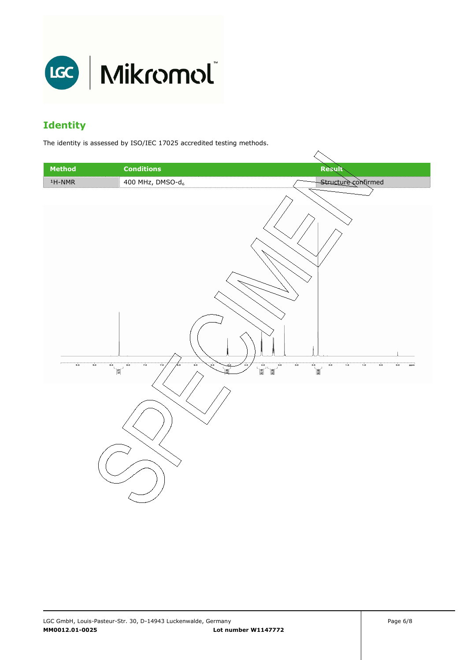

# **Identity**

The identity is assessed by ISO/IEC 17025 accredited testing methods.

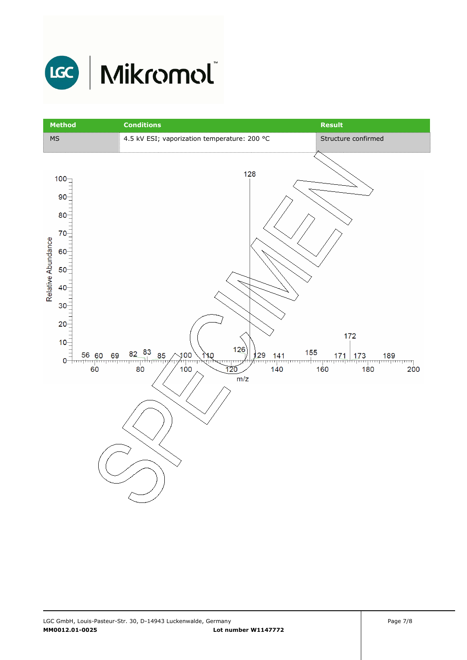